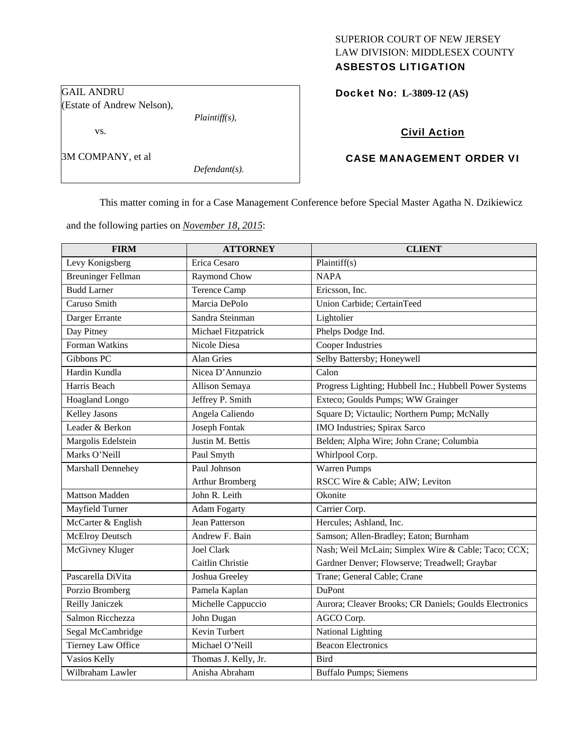# SUPERIOR COURT OF NEW JERSEY LAW DIVISION: MIDDLESEX COUNTY

# ASBESTOS LITIGATION

GAIL ANDRU (Estate of Andrew Nelson),

*Plaintiff(s),* 

3M COMPANY, et al

vs.

*Defendant(s).* 

Docket No: **L-3809-12 (AS)** 

### Civil Action

## CASE MANAGEMENT ORDER VI

This matter coming in for a Case Management Conference before Special Master Agatha N. Dzikiewicz

and the following parties on *November 18, 2015*:

| <b>FIRM</b>               | <b>ATTORNEY</b>        | <b>CLIENT</b>                                          |
|---------------------------|------------------------|--------------------------------------------------------|
| Levy Konigsberg           | Erica Cesaro           | Plaintiff(s)                                           |
| <b>Breuninger Fellman</b> | Raymond Chow           | <b>NAPA</b>                                            |
| <b>Budd Larner</b>        | <b>Terence Camp</b>    | Ericsson, Inc.                                         |
| Caruso Smith              | Marcia DePolo          | Union Carbide; CertainTeed                             |
| Darger Errante            | Sandra Steinman        | Lightolier                                             |
| Day Pitney                | Michael Fitzpatrick    | Phelps Dodge Ind.                                      |
| Forman Watkins            | Nicole Diesa           | <b>Cooper Industries</b>                               |
| Gibbons PC                | <b>Alan Gries</b>      | Selby Battersby; Honeywell                             |
| Hardin Kundla             | Nicea D'Annunzio       | Calon                                                  |
| Harris Beach              | Allison Semaya         | Progress Lighting; Hubbell Inc.; Hubbell Power Systems |
| Hoagland Longo            | Jeffrey P. Smith       | Exteco; Goulds Pumps; WW Grainger                      |
| Kelley Jasons             | Angela Caliendo        | Square D; Victaulic; Northern Pump; McNally            |
| Leader & Berkon           | Joseph Fontak          | <b>IMO</b> Industries; Spirax Sarco                    |
| Margolis Edelstein        | Justin M. Bettis       | Belden; Alpha Wire; John Crane; Columbia               |
| Marks O'Neill             | Paul Smyth             | Whirlpool Corp.                                        |
| Marshall Dennehey         | Paul Johnson           | <b>Warren Pumps</b>                                    |
|                           | <b>Arthur Bromberg</b> | RSCC Wire & Cable; AIW; Leviton                        |
| <b>Mattson Madden</b>     | John R. Leith          | Okonite                                                |
| Mayfield Turner           | <b>Adam Fogarty</b>    | Carrier Corp.                                          |
| McCarter & English        | Jean Patterson         | Hercules; Ashland, Inc.                                |
| McElroy Deutsch           | Andrew F. Bain         | Samson; Allen-Bradley; Eaton; Burnham                  |
| McGivney Kluger           | <b>Joel Clark</b>      | Nash; Weil McLain; Simplex Wire & Cable; Taco; CCX;    |
|                           | Caitlin Christie       | Gardner Denver; Flowserve; Treadwell; Graybar          |
| Pascarella DiVita         | Joshua Greeley         | Trane; General Cable; Crane                            |
| Porzio Bromberg           | Pamela Kaplan          | DuPont                                                 |
| Reilly Janiczek           | Michelle Cappuccio     | Aurora; Cleaver Brooks; CR Daniels; Goulds Electronics |
| Salmon Ricchezza          | John Dugan             | AGCO Corp.                                             |
| Segal McCambridge         | Kevin Turbert          | National Lighting                                      |
| <b>Tierney Law Office</b> | Michael O'Neill        | <b>Beacon Electronics</b>                              |
| Vasios Kelly              | Thomas J. Kelly, Jr.   | <b>Bird</b>                                            |
| Wilbraham Lawler          | Anisha Abraham         | <b>Buffalo Pumps; Siemens</b>                          |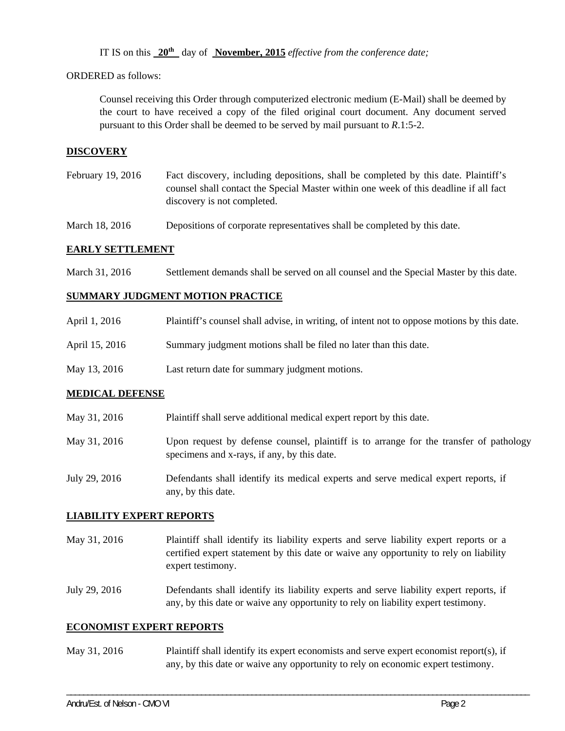IT IS on this **20th** day of **November, 2015** *effective from the conference date;*

ORDERED as follows:

Counsel receiving this Order through computerized electronic medium (E-Mail) shall be deemed by the court to have received a copy of the filed original court document. Any document served pursuant to this Order shall be deemed to be served by mail pursuant to *R*.1:5-2.

#### **DISCOVERY**

February 19, 2016 Fact discovery, including depositions, shall be completed by this date. Plaintiff's counsel shall contact the Special Master within one week of this deadline if all fact discovery is not completed.

March 18, 2016 Depositions of corporate representatives shall be completed by this date.

#### **EARLY SETTLEMENT**

March 31, 2016 Settlement demands shall be served on all counsel and the Special Master by this date.

#### **SUMMARY JUDGMENT MOTION PRACTICE**

| April 1, 2016  | Plaintiff's counsel shall advise, in writing, of intent not to oppose motions by this date. |
|----------------|---------------------------------------------------------------------------------------------|
| April 15, 2016 | Summary judgment motions shall be filed no later than this date.                            |

May 13, 2016 Last return date for summary judgment motions.

#### **MEDICAL DEFENSE**

- May 31, 2016 Plaintiff shall serve additional medical expert report by this date.
- May 31, 2016 Upon request by defense counsel, plaintiff is to arrange for the transfer of pathology specimens and x-rays, if any, by this date.
- July 29, 2016 Defendants shall identify its medical experts and serve medical expert reports, if any, by this date.

#### **LIABILITY EXPERT REPORTS**

May 31, 2016 Plaintiff shall identify its liability experts and serve liability expert reports or a certified expert statement by this date or waive any opportunity to rely on liability expert testimony.

July 29, 2016 Defendants shall identify its liability experts and serve liability expert reports, if any, by this date or waive any opportunity to rely on liability expert testimony.

#### **ECONOMIST EXPERT REPORTS**

May 31, 2016 Plaintiff shall identify its expert economists and serve expert economist report(s), if any, by this date or waive any opportunity to rely on economic expert testimony.

\_\_\_\_\_\_\_\_\_\_\_\_\_\_\_\_\_\_\_\_\_\_\_\_\_\_\_\_\_\_\_\_\_\_\_\_\_\_\_\_\_\_\_\_\_\_\_\_\_\_\_\_\_\_\_\_\_\_\_\_\_\_\_\_\_\_\_\_\_\_\_\_\_\_\_\_\_\_\_\_\_\_\_\_\_\_\_\_\_\_\_\_\_\_\_\_\_\_\_\_\_\_\_\_\_\_\_\_\_\_